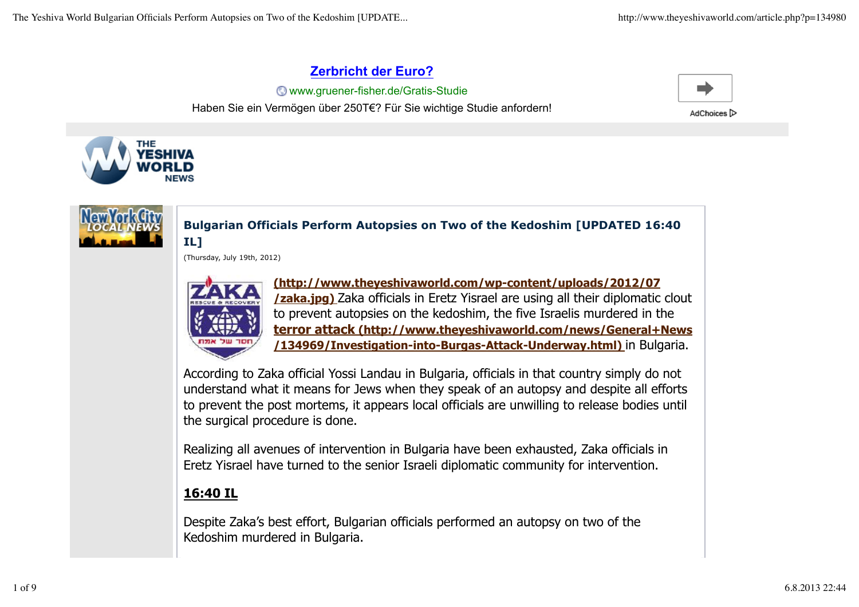## **Zerbricht der Euro?**

**Www.gruener-fisher.de/Gratis-Studie** Haben Sie ein Vermögen über 250T€? Für Sie wichtige Studie anfordern!



AdChoices D





## **Bulgarian Officials Perform Autopsies on Two of the Kedoshim [UPDATED 16:40 IL]**

(Thursday, July 19th, 2012)



**(http://www.theyeshivaworld.com/wp-content/uploads/2012/07 /zaka.jpg)** Zaka officials in Eretz Yisrael are using all their diplomatic clout to prevent autopsies on the kedoshim, the five Israelis murdered in the **terror attack (http://www.theyeshivaworld.com/news/General+News /134969/Investigation-into-Burgas-Attack-Underway.html)** in Bulgaria.

According to Zaka official Yossi Landau in Bulgaria, officials in that country simply do not understand what it means for Jews when they speak of an autopsy and despite all efforts to prevent the post mortems, it appears local officials are unwilling to release bodies until the surgical procedure is done.

Realizing all avenues of intervention in Bulgaria have been exhausted, Zaka officials in Eretz Yisrael have turned to the senior Israeli diplomatic community for intervention.

## **16:40 IL**

Despite Zaka's best effort, Bulgarian officials performed an autopsy on two of the Kedoshim murdered in Bulgaria.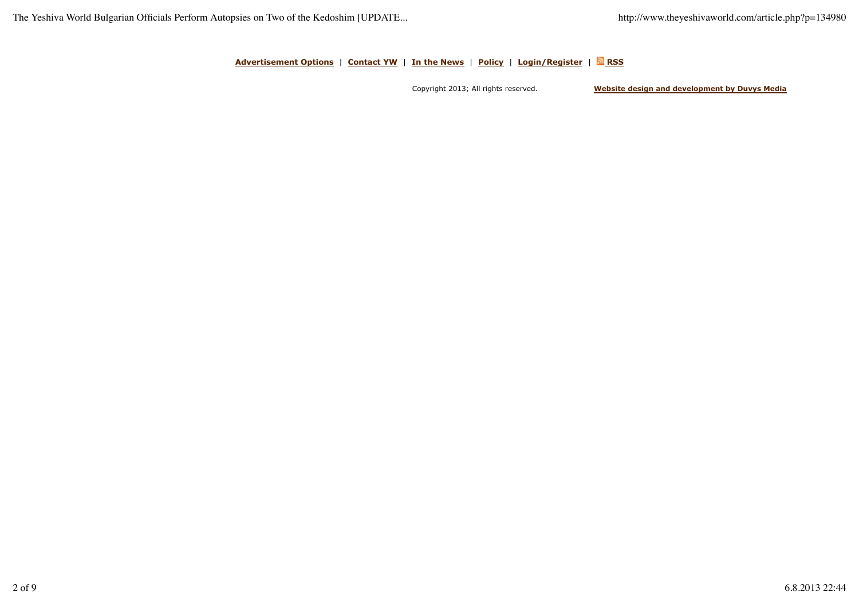**Advertisement Options** | **Contact YW** | **In the News** | **Policy** | **Login/Register** | **RSS**

Copyright 2013; All rights reserved. **Website design and development by Duvys Media**